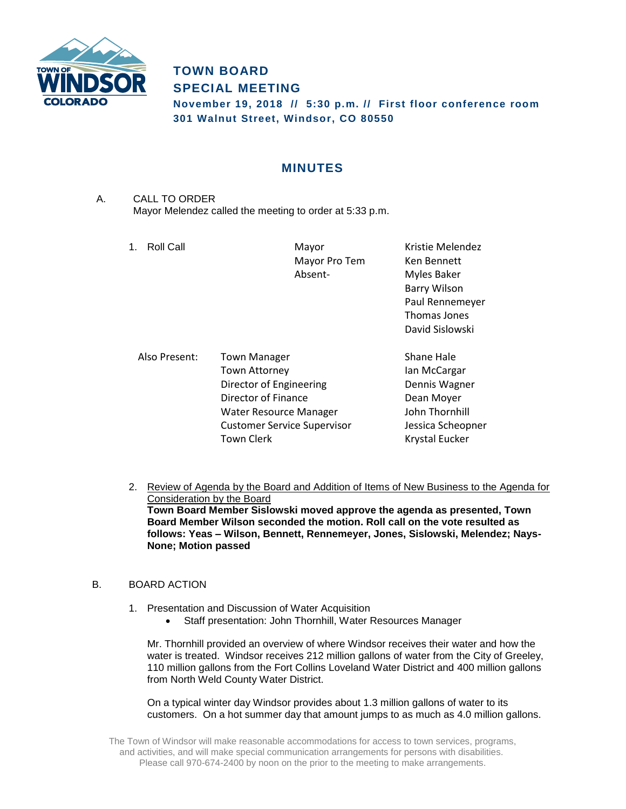

## **TOWN BOARD SPECIAL MEETING**

**November 19, 2018 // 5:30 p.m. // First floor conference room 301 Walnut Street, Windsor, CO 80550**

## **MINUTES**

A. CALL TO ORDER Mayor Melendez called the meeting to order at 5:33 p.m.

1. Roll Call **Mayor** Mayor **Kristie Melendez** Mayor Pro Tem Ken Bennett Absent- Myles Baker Barry Wilson Paul Rennemeyer Thomas Jones David Sislowski

| Also Present: | <b>Town Manager</b>                | Shane Hale        |
|---------------|------------------------------------|-------------------|
|               | <b>Town Attorney</b>               | Ian McCargar      |
|               | Director of Engineering            | Dennis Wagner     |
|               | Director of Finance                | Dean Moyer        |
|               | Water Resource Manager             | John Thornhill    |
|               | <b>Customer Service Supervisor</b> | Jessica Scheopner |
|               | <b>Town Clerk</b>                  | Krystal Eucker    |

2. Review of Agenda by the Board and Addition of Items of New Business to the Agenda for Consideration by the Board **Town Board Member Sislowski moved approve the agenda as presented, Town Board Member Wilson seconded the motion. Roll call on the vote resulted as follows: Yeas – Wilson, Bennett, Rennemeyer, Jones, Sislowski, Melendez; Nays-None; Motion passed**

## B. BOARD ACTION

- 1. Presentation and Discussion of Water Acquisition
	- Staff presentation: John Thornhill, Water Resources Manager

Mr. Thornhill provided an overview of where Windsor receives their water and how the water is treated. Windsor receives 212 million gallons of water from the City of Greeley, 110 million gallons from the Fort Collins Loveland Water District and 400 million gallons from North Weld County Water District.

On a typical winter day Windsor provides about 1.3 million gallons of water to its customers. On a hot summer day that amount jumps to as much as 4.0 million gallons.

The Town of Windsor will make reasonable accommodations for access to town services, programs, and activities, and will make special communication arrangements for persons with disabilities. Please call 970-674-2400 by noon on the prior to the meeting to make arrangements.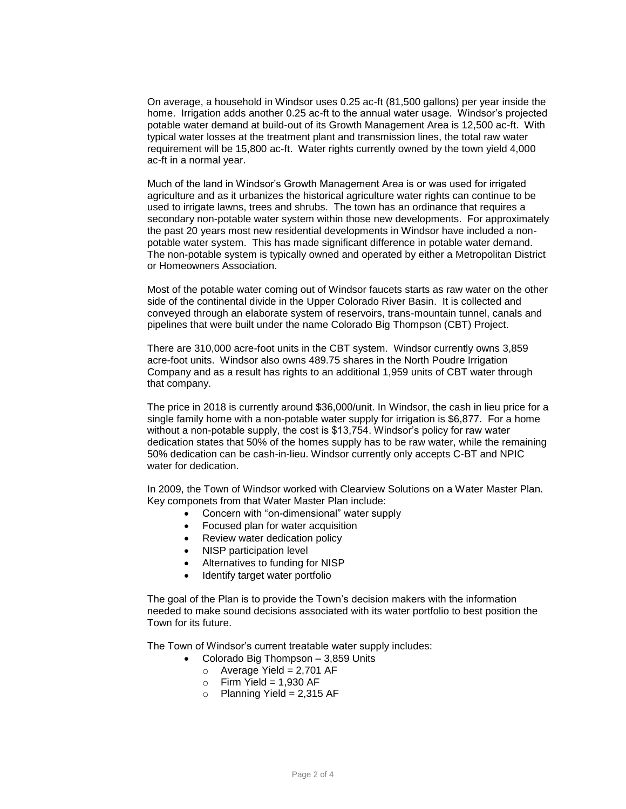On average, a household in Windsor uses 0.25 ac-ft (81,500 gallons) per year inside the home. Irrigation adds another 0.25 ac-ft to the annual water usage. Windsor's projected potable water demand at build-out of its Growth Management Area is 12,500 ac-ft. With typical water losses at the treatment plant and transmission lines, the total raw water requirement will be 15,800 ac-ft. Water rights currently owned by the town yield 4,000 ac-ft in a normal year.

Much of the land in Windsor's Growth Management Area is or was used for irrigated agriculture and as it urbanizes the historical agriculture water rights can continue to be used to irrigate lawns, trees and shrubs. The town has an ordinance that requires a secondary non-potable water system within those new developments. For approximately the past 20 years most new residential developments in Windsor have included a nonpotable water system. This has made significant difference in potable water demand. The non-potable system is typically owned and operated by either a Metropolitan District or Homeowners Association.

Most of the potable water coming out of Windsor faucets starts as raw water on the other side of the continental divide in the Upper Colorado River Basin. It is collected and conveyed through an elaborate system of reservoirs, trans-mountain tunnel, canals and pipelines that were built under the name Colorado Big Thompson (CBT) Project.

There are 310,000 acre-foot units in the CBT system. Windsor currently owns 3,859 acre-foot units. Windsor also owns 489.75 shares in the North Poudre Irrigation Company and as a result has rights to an additional 1,959 units of CBT water through that company.

The price in 2018 is currently around \$36,000/unit. In Windsor, the cash in lieu price for a single family home with a non-potable water supply for irrigation is \$6,877. For a home without a non-potable supply, the cost is \$13,754. Windsor's policy for raw water dedication states that 50% of the homes supply has to be raw water, while the remaining 50% dedication can be cash-in-lieu. Windsor currently only accepts C-BT and NPIC water for dedication.

In 2009, the Town of Windsor worked with Clearview Solutions on a Water Master Plan. Key componets from that Water Master Plan include:

- Concern with "on-dimensional" water supply
- Focused plan for water acquisition
- Review water dedication policy
- NISP participation level
- Alternatives to funding for NISP
- Identify target water portfolio

The goal of the Plan is to provide the Town's decision makers with the information needed to make sound decisions associated with its water portfolio to best position the Town for its future.

The Town of Windsor's current treatable water supply includes:

- Colorado Big Thompson 3,859 Units
	- $\circ$  Average Yield = 2,701 AF
	- $\circ$  Firm Yield = 1.930 AF
	- $\circ$  Planning Yield = 2,315 AF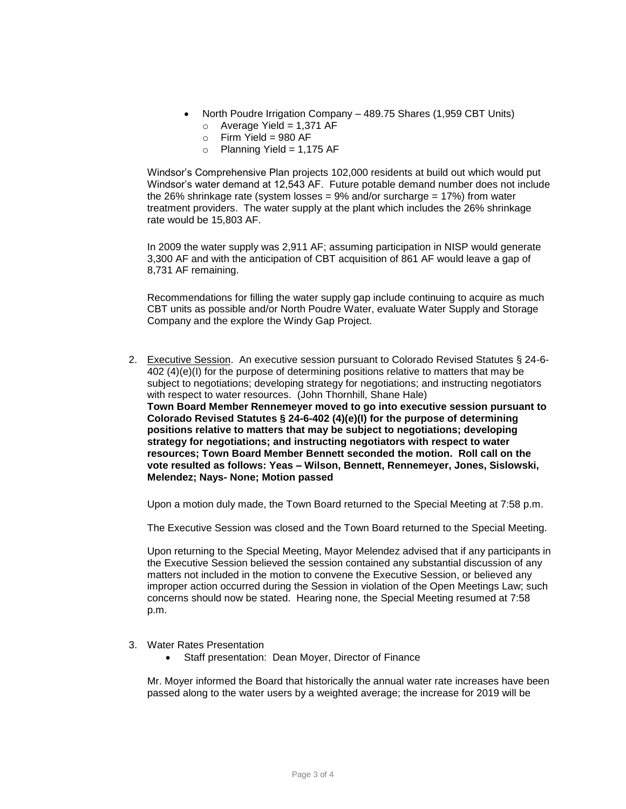- North Poudre Irrigation Company 489.75 Shares (1,959 CBT Units)  $\circ$  Average Yield = 1.371 AF
	- $\circ$  Firm Yield = 980 AF
	- $\circ$  Planning Yield = 1,175 AF

Windsor's Comprehensive Plan projects 102,000 residents at build out which would put Windsor's water demand at 12,543 AF. Future potable demand number does not include the 26% shrinkage rate (system losses =  $9%$  and/or surcharge =  $17%$ ) from water treatment providers. The water supply at the plant which includes the 26% shrinkage rate would be 15,803 AF.

In 2009 the water supply was 2,911 AF; assuming participation in NISP would generate 3,300 AF and with the anticipation of CBT acquisition of 861 AF would leave a gap of 8,731 AF remaining.

Recommendations for filling the water supply gap include continuing to acquire as much CBT units as possible and/or North Poudre Water, evaluate Water Supply and Storage Company and the explore the Windy Gap Project.

2. Executive Session. An executive session pursuant to Colorado Revised Statutes § 24-6-402 (4)(e)(I) for the purpose of determining positions relative to matters that may be subject to negotiations; developing strategy for negotiations; and instructing negotiators with respect to water resources. (John Thornhill, Shane Hale) **Town Board Member Rennemeyer moved to go into executive session pursuant to Colorado Revised Statutes § 24-6-402 (4)(e)(I) for the purpose of determining positions relative to matters that may be subject to negotiations; developing strategy for negotiations; and instructing negotiators with respect to water resources; Town Board Member Bennett seconded the motion. Roll call on the vote resulted as follows: Yeas – Wilson, Bennett, Rennemeyer, Jones, Sislowski, Melendez; Nays- None; Motion passed**

Upon a motion duly made, the Town Board returned to the Special Meeting at 7:58 p.m.

The Executive Session was closed and the Town Board returned to the Special Meeting.

Upon returning to the Special Meeting, Mayor Melendez advised that if any participants in the Executive Session believed the session contained any substantial discussion of any matters not included in the motion to convene the Executive Session, or believed any improper action occurred during the Session in violation of the Open Meetings Law; such concerns should now be stated. Hearing none, the Special Meeting resumed at 7:58 p.m.

- 3. Water Rates Presentation
	- Staff presentation: Dean Moyer, Director of Finance

Mr. Moyer informed the Board that historically the annual water rate increases have been passed along to the water users by a weighted average; the increase for 2019 will be